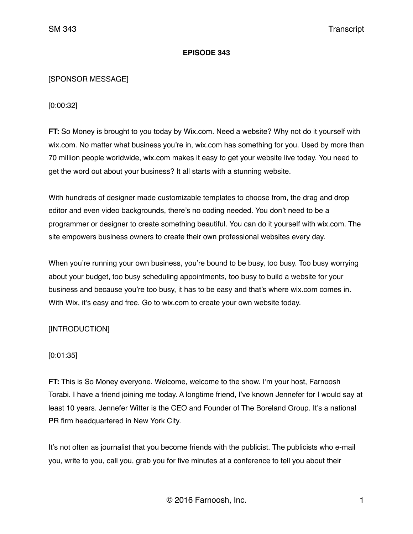## **EPISODE 343**

## [SPONSOR MESSAGE]

## [0:00:32]

**FT:** So Money is brought to you today by Wix.com. Need a website? Why not do it yourself with wix.com. No matter what business you're in, wix.com has something for you. Used by more than 70 million people worldwide, wix.com makes it easy to get your website live today. You need to get the word out about your business? It all starts with a stunning website.

With hundreds of designer made customizable templates to choose from, the drag and drop editor and even video backgrounds, there's no coding needed. You don't need to be a programmer or designer to create something beautiful. You can do it yourself with wix.com. The site empowers business owners to create their own professional websites every day.

When you're running your own business, you're bound to be busy, too busy. Too busy worrying about your budget, too busy scheduling appointments, too busy to build a website for your business and because you're too busy, it has to be easy and that's where wix.com comes in. With Wix, it's easy and free. Go to wix.com to create your own website today.

# [INTRODUCTION]

# [0:01:35]

**FT:** This is So Money everyone. Welcome, welcome to the show. I'm your host, Farnoosh Torabi. I have a friend joining me today. A longtime friend, I've known Jennefer for I would say at least 10 years. Jennefer Witter is the CEO and Founder of The Boreland Group. It's a national PR firm headquartered in New York City.

It's not often as journalist that you become friends with the publicist. The publicists who e-mail you, write to you, call you, grab you for five minutes at a conference to tell you about their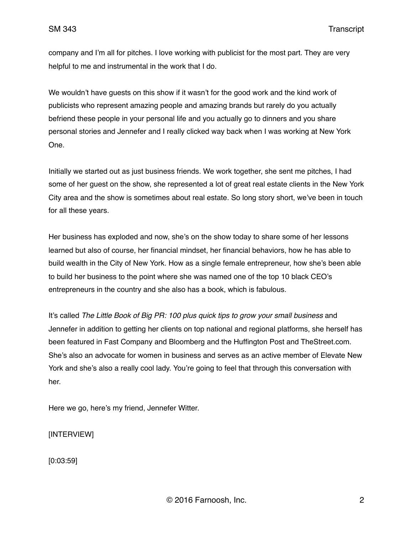company and I'm all for pitches. I love working with publicist for the most part. They are very helpful to me and instrumental in the work that I do.

We wouldn't have guests on this show if it wasn't for the good work and the kind work of publicists who represent amazing people and amazing brands but rarely do you actually befriend these people in your personal life and you actually go to dinners and you share personal stories and Jennefer and I really clicked way back when I was working at New York One.

Initially we started out as just business friends. We work together, she sent me pitches, I had some of her guest on the show, she represented a lot of great real estate clients in the New York City area and the show is sometimes about real estate. So long story short, we've been in touch for all these years.

Her business has exploded and now, she's on the show today to share some of her lessons learned but also of course, her financial mindset, her financial behaviors, how he has able to build wealth in the City of New York. How as a single female entrepreneur, how she's been able to build her business to the point where she was named one of the top 10 black CEO's entrepreneurs in the country and she also has a book, which is fabulous.

It's called *The Little Book of Big PR: 100 plus quick tips to grow your small business* and Jennefer in addition to getting her clients on top national and regional platforms, she herself has been featured in Fast Company and Bloomberg and the Huffington Post and TheStreet.com. She's also an advocate for women in business and serves as an active member of Elevate New York and she's also a really cool lady. You're going to feel that through this conversation with her.

Here we go, here's my friend, Jennefer Witter.

[INTERVIEW]

[0:03:59]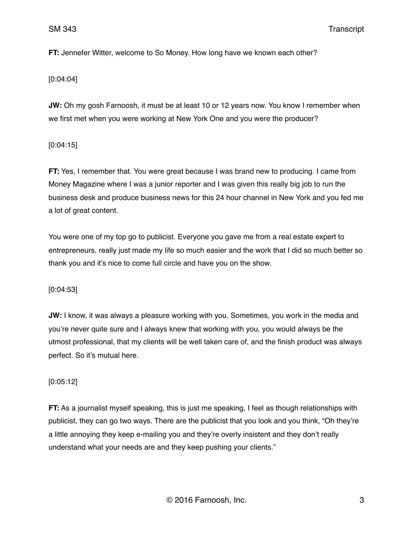**FT:** Jennefer Witter, welcome to So Money. How long have we known each other?

### [0:04:04]

**JW:** Oh my gosh Farnoosh, it must be at least 10 or 12 years now. You know I remember when we first met when you were working at New York One and you were the producer?

### [0:04:15]

**FT:** Yes, I remember that. You were great because I was brand new to producing. I came from Money Magazine where I was a junior reporter and I was given this really big job to run the business desk and produce business news for this 24 hour channel in New York and you fed me a lot of great content.

You were one of my top go to publicist. Everyone you gave me from a real estate expert to entrepreneurs, really just made my life so much easier and the work that I did so much better so thank you and it's nice to come full circle and have you on the show.

[0:04:53]

**JW:** I know, it was always a pleasure working with you. Sometimes, you work in the media and you're never quite sure and I always knew that working with you, you would always be the utmost professional, that my clients will be well taken care of, and the finish product was always perfect. So it's mutual here.

## [0:05:12]

**FT:** As a journalist myself speaking, this is just me speaking, I feel as though relationships with publicist, they can go two ways. There are the publicist that you look and you think, "Oh they're a little annoying they keep e-mailing you and they're overly insistent and they don't really understand what your needs are and they keep pushing your clients."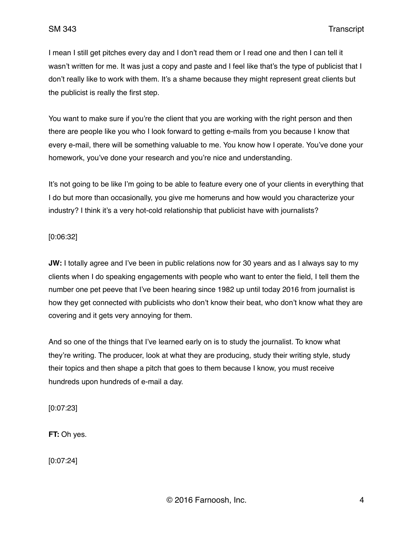I mean I still get pitches every day and I don't read them or I read one and then I can tell it wasn't written for me. It was just a copy and paste and I feel like that's the type of publicist that I don't really like to work with them. It's a shame because they might represent great clients but the publicist is really the first step.

You want to make sure if you're the client that you are working with the right person and then there are people like you who I look forward to getting e-mails from you because I know that every e-mail, there will be something valuable to me. You know how I operate. You've done your homework, you've done your research and you're nice and understanding.

It's not going to be like I'm going to be able to feature every one of your clients in everything that I do but more than occasionally, you give me homeruns and how would you characterize your industry? I think it's a very hot-cold relationship that publicist have with journalists?

## [0:06:32]

**JW:** I totally agree and I've been in public relations now for 30 years and as I always say to my clients when I do speaking engagements with people who want to enter the field, I tell them the number one pet peeve that I've been hearing since 1982 up until today 2016 from journalist is how they get connected with publicists who don't know their beat, who don't know what they are covering and it gets very annoying for them.

And so one of the things that I've learned early on is to study the journalist. To know what they're writing. The producer, look at what they are producing, study their writing style, study their topics and then shape a pitch that goes to them because I know, you must receive hundreds upon hundreds of e-mail a day.

[0:07:23]

**FT:** Oh yes.

[0:07:24]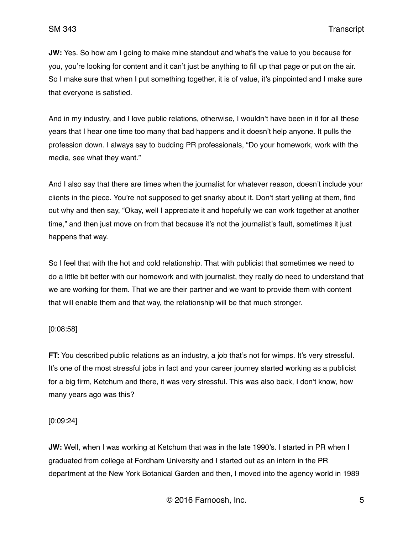**JW:** Yes. So how am I going to make mine standout and what's the value to you because for you, you're looking for content and it can't just be anything to fill up that page or put on the air. So I make sure that when I put something together, it is of value, it's pinpointed and I make sure that everyone is satisfied.

And in my industry, and I love public relations, otherwise, I wouldn't have been in it for all these years that I hear one time too many that bad happens and it doesn't help anyone. It pulls the profession down. I always say to budding PR professionals, "Do your homework, work with the media, see what they want."

And I also say that there are times when the journalist for whatever reason, doesn't include your clients in the piece. You're not supposed to get snarky about it. Don't start yelling at them, find out why and then say, "Okay, well I appreciate it and hopefully we can work together at another time," and then just move on from that because it's not the journalist's fault, sometimes it just happens that way.

So I feel that with the hot and cold relationship. That with publicist that sometimes we need to do a little bit better with our homework and with journalist, they really do need to understand that we are working for them. That we are their partner and we want to provide them with content that will enable them and that way, the relationship will be that much stronger.

### [0:08:58]

**FT:** You described public relations as an industry, a job that's not for wimps. It's very stressful. It's one of the most stressful jobs in fact and your career journey started working as a publicist for a big firm, Ketchum and there, it was very stressful. This was also back, I don't know, how many years ago was this?

### [0:09:24]

**JW:** Well, when I was working at Ketchum that was in the late 1990's. I started in PR when I graduated from college at Fordham University and I started out as an intern in the PR department at the New York Botanical Garden and then, I moved into the agency world in 1989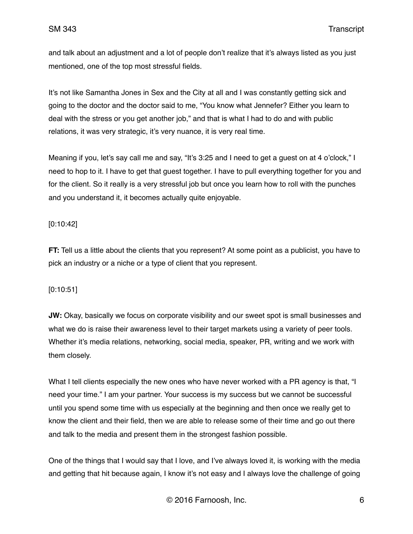and talk about an adjustment and a lot of people don't realize that it's always listed as you just mentioned, one of the top most stressful fields.

It's not like Samantha Jones in Sex and the City at all and I was constantly getting sick and going to the doctor and the doctor said to me, "You know what Jennefer? Either you learn to deal with the stress or you get another job," and that is what I had to do and with public relations, it was very strategic, it's very nuance, it is very real time.

Meaning if you, let's say call me and say, "It's 3:25 and I need to get a guest on at 4 o'clock," I need to hop to it. I have to get that guest together. I have to pull everything together for you and for the client. So it really is a very stressful job but once you learn how to roll with the punches and you understand it, it becomes actually quite enjoyable.

# [0:10:42]

**FT:** Tell us a little about the clients that you represent? At some point as a publicist, you have to pick an industry or a niche or a type of client that you represent.

# [0:10:51]

**JW:** Okay, basically we focus on corporate visibility and our sweet spot is small businesses and what we do is raise their awareness level to their target markets using a variety of peer tools. Whether it's media relations, networking, social media, speaker, PR, writing and we work with them closely.

What I tell clients especially the new ones who have never worked with a PR agency is that, "I need your time." I am your partner. Your success is my success but we cannot be successful until you spend some time with us especially at the beginning and then once we really get to know the client and their field, then we are able to release some of their time and go out there and talk to the media and present them in the strongest fashion possible.

One of the things that I would say that I love, and I've always loved it, is working with the media and getting that hit because again, I know it's not easy and I always love the challenge of going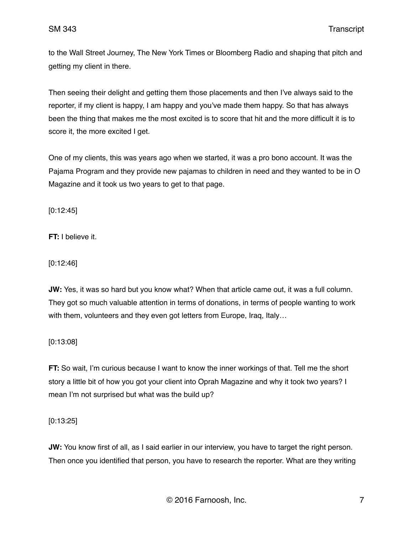to the Wall Street Journey, The New York Times or Bloomberg Radio and shaping that pitch and getting my client in there.

Then seeing their delight and getting them those placements and then I've always said to the reporter, if my client is happy, I am happy and you've made them happy. So that has always been the thing that makes me the most excited is to score that hit and the more difficult it is to score it, the more excited I get.

One of my clients, this was years ago when we started, it was a pro bono account. It was the Pajama Program and they provide new pajamas to children in need and they wanted to be in O Magazine and it took us two years to get to that page.

[0:12:45]

**FT:** I believe it.

[0:12:46]

**JW:** Yes, it was so hard but you know what? When that article came out, it was a full column. They got so much valuable attention in terms of donations, in terms of people wanting to work with them, volunteers and they even got letters from Europe, Iraq, Italy...

[0:13:08]

**FT:** So wait, I'm curious because I want to know the inner workings of that. Tell me the short story a little bit of how you got your client into Oprah Magazine and why it took two years? I mean I'm not surprised but what was the build up?

[0:13:25]

**JW:** You know first of all, as I said earlier in our interview, you have to target the right person. Then once you identified that person, you have to research the reporter. What are they writing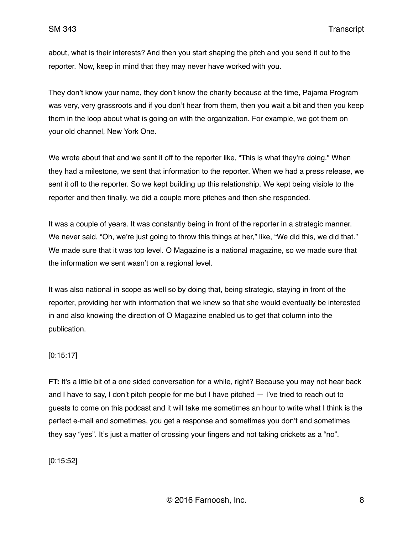about, what is their interests? And then you start shaping the pitch and you send it out to the reporter. Now, keep in mind that they may never have worked with you.

They don't know your name, they don't know the charity because at the time, Pajama Program was very, very grassroots and if you don't hear from them, then you wait a bit and then you keep them in the loop about what is going on with the organization. For example, we got them on your old channel, New York One.

We wrote about that and we sent it off to the reporter like, "This is what they're doing." When they had a milestone, we sent that information to the reporter. When we had a press release, we sent it off to the reporter. So we kept building up this relationship. We kept being visible to the reporter and then finally, we did a couple more pitches and then she responded.

It was a couple of years. It was constantly being in front of the reporter in a strategic manner. We never said, "Oh, we're just going to throw this things at her," like, "We did this, we did that." We made sure that it was top level. O Magazine is a national magazine, so we made sure that the information we sent wasn't on a regional level.

It was also national in scope as well so by doing that, being strategic, staying in front of the reporter, providing her with information that we knew so that she would eventually be interested in and also knowing the direction of O Magazine enabled us to get that column into the publication.

## [0:15:17]

**FT:** It's a little bit of a one sided conversation for a while, right? Because you may not hear back and I have to say, I don't pitch people for me but I have pitched — I've tried to reach out to guests to come on this podcast and it will take me sometimes an hour to write what I think is the perfect e-mail and sometimes, you get a response and sometimes you don't and sometimes they say "yes". It's just a matter of crossing your fingers and not taking crickets as a "no".

[0:15:52]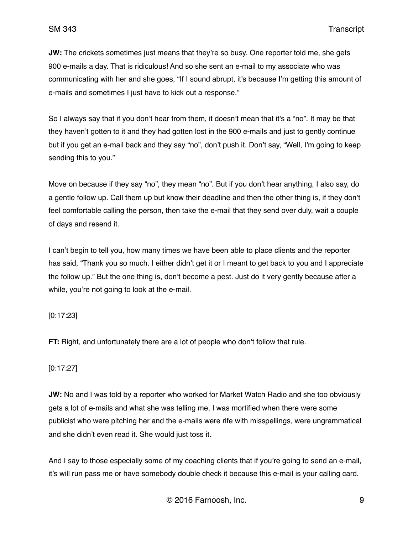**JW:** The crickets sometimes just means that they're so busy. One reporter told me, she gets 900 e-mails a day. That is ridiculous! And so she sent an e-mail to my associate who was communicating with her and she goes, "If I sound abrupt, it's because I'm getting this amount of e-mails and sometimes I just have to kick out a response."

So I always say that if you don't hear from them, it doesn't mean that it's a "no". It may be that they haven't gotten to it and they had gotten lost in the 900 e-mails and just to gently continue but if you get an e-mail back and they say "no", don't push it. Don't say, "Well, I'm going to keep sending this to you."

Move on because if they say "no", they mean "no". But if you don't hear anything, I also say, do a gentle follow up. Call them up but know their deadline and then the other thing is, if they don't feel comfortable calling the person, then take the e-mail that they send over duly, wait a couple of days and resend it.

I can't begin to tell you, how many times we have been able to place clients and the reporter has said, "Thank you so much. I either didn't get it or I meant to get back to you and I appreciate the follow up." But the one thing is, don't become a pest. Just do it very gently because after a while, you're not going to look at the e-mail.

## [0:17:23]

**FT:** Right, and unfortunately there are a lot of people who don't follow that rule.

### [0:17:27]

**JW:** No and I was told by a reporter who worked for Market Watch Radio and she too obviously gets a lot of e-mails and what she was telling me, I was mortified when there were some publicist who were pitching her and the e-mails were rife with misspellings, were ungrammatical and she didn't even read it. She would just toss it.

And I say to those especially some of my coaching clients that if you're going to send an e-mail, it's will run pass me or have somebody double check it because this e-mail is your calling card.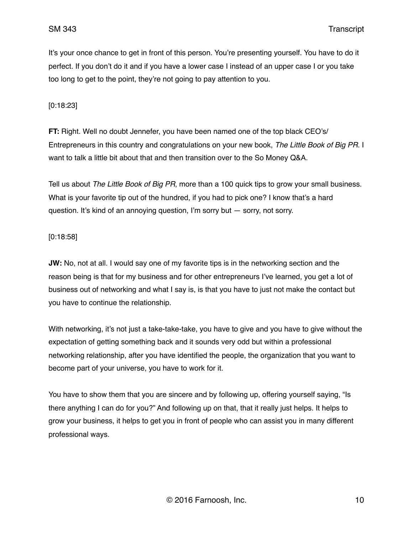It's your once chance to get in front of this person. You're presenting yourself. You have to do it perfect. If you don't do it and if you have a lower case I instead of an upper case I or you take too long to get to the point, they're not going to pay attention to you.

## [0:18:23]

**FT:** Right. Well no doubt Jennefer, you have been named one of the top black CEO's/ Entrepreneurs in this country and congratulations on your new book, *The Little Book of Big PR*. I want to talk a little bit about that and then transition over to the So Money Q&A.

Tell us about *The Little Book of Big PR*, more than a 100 quick tips to grow your small business. What is your favorite tip out of the hundred, if you had to pick one? I know that's a hard question. It's kind of an annoying question, I'm sorry but — sorry, not sorry.

### [0:18:58]

**JW:** No, not at all. I would say one of my favorite tips is in the networking section and the reason being is that for my business and for other entrepreneurs I've learned, you get a lot of business out of networking and what I say is, is that you have to just not make the contact but you have to continue the relationship.

With networking, it's not just a take-take-take, you have to give and you have to give without the expectation of getting something back and it sounds very odd but within a professional networking relationship, after you have identified the people, the organization that you want to become part of your universe, you have to work for it.

You have to show them that you are sincere and by following up, offering yourself saying, "Is there anything I can do for you?" And following up on that, that it really just helps. It helps to grow your business, it helps to get you in front of people who can assist you in many different professional ways.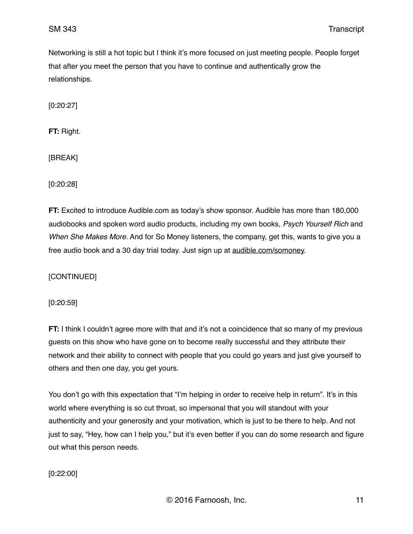Networking is still a hot topic but I think it's more focused on just meeting people. People forget that after you meet the person that you have to continue and authentically grow the relationships.

[0:20:27]

**FT:** Right.

[BREAK]

[0:20:28]

**FT:** Excited to introduce Audible.com as today's show sponsor. Audible has more than 180,000 audiobooks and spoken word audio products, including my own books, *Psych Yourself Rich* and *When She Makes More.* And for So Money listeners, the company, get this, wants to give you a free audio book and a 30 day trial today. Just sign up at [audible.com/somoney.](http://audible.com/somoney)

[CONTINUED]

[0:20:59]

**FT:** I think I couldn't agree more with that and it's not a coincidence that so many of my previous guests on this show who have gone on to become really successful and they attribute their network and their ability to connect with people that you could go years and just give yourself to others and then one day, you get yours.

You don't go with this expectation that "I'm helping in order to receive help in return". It's in this world where everything is so cut throat, so impersonal that you will standout with your authenticity and your generosity and your motivation, which is just to be there to help. And not just to say, "Hey, how can I help you," but it's even better if you can do some research and figure out what this person needs.

[0:22:00]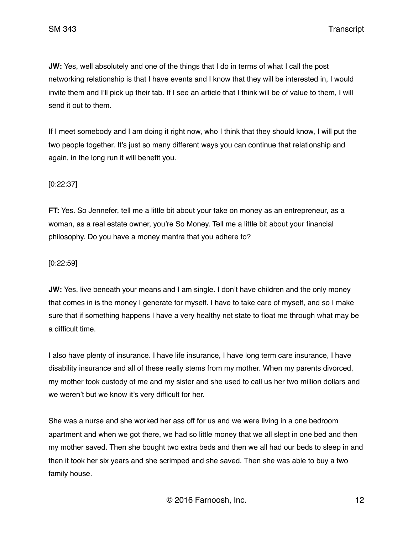**JW:** Yes, well absolutely and one of the things that I do in terms of what I call the post networking relationship is that I have events and I know that they will be interested in, I would invite them and I'll pick up their tab. If I see an article that I think will be of value to them, I will send it out to them.

If I meet somebody and I am doing it right now, who I think that they should know, I will put the two people together. It's just so many different ways you can continue that relationship and again, in the long run it will benefit you.

# [0:22:37]

**FT:** Yes. So Jennefer, tell me a little bit about your take on money as an entrepreneur, as a woman, as a real estate owner, you're So Money. Tell me a little bit about your financial philosophy. Do you have a money mantra that you adhere to?

## [0:22:59]

**JW:** Yes, live beneath your means and I am single. I don't have children and the only money that comes in is the money I generate for myself. I have to take care of myself, and so I make sure that if something happens I have a very healthy net state to float me through what may be a difficult time.

I also have plenty of insurance. I have life insurance, I have long term care insurance, I have disability insurance and all of these really stems from my mother. When my parents divorced, my mother took custody of me and my sister and she used to call us her two million dollars and we weren't but we know it's very difficult for her.

She was a nurse and she worked her ass off for us and we were living in a one bedroom apartment and when we got there, we had so little money that we all slept in one bed and then my mother saved. Then she bought two extra beds and then we all had our beds to sleep in and then it took her six years and she scrimped and she saved. Then she was able to buy a two family house.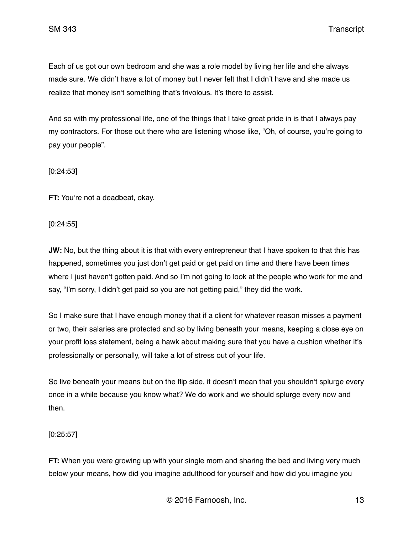SM 343 Transcript

Each of us got our own bedroom and she was a role model by living her life and she always made sure. We didn't have a lot of money but I never felt that I didn't have and she made us realize that money isn't something that's frivolous. It's there to assist.

And so with my professional life, one of the things that I take great pride in is that I always pay my contractors. For those out there who are listening whose like, "Oh, of course, you're going to pay your people".

[0:24:53]

**FT:** You're not a deadbeat, okay.

[0:24:55]

**JW:** No, but the thing about it is that with every entrepreneur that I have spoken to that this has happened, sometimes you just don't get paid or get paid on time and there have been times where I just haven't gotten paid. And so I'm not going to look at the people who work for me and say, "I'm sorry, I didn't get paid so you are not getting paid," they did the work.

So I make sure that I have enough money that if a client for whatever reason misses a payment or two, their salaries are protected and so by living beneath your means, keeping a close eye on your profit loss statement, being a hawk about making sure that you have a cushion whether it's professionally or personally, will take a lot of stress out of your life.

So live beneath your means but on the flip side, it doesn't mean that you shouldn't splurge every once in a while because you know what? We do work and we should splurge every now and then.

[0:25:57]

**FT:** When you were growing up with your single mom and sharing the bed and living very much below your means, how did you imagine adulthood for yourself and how did you imagine you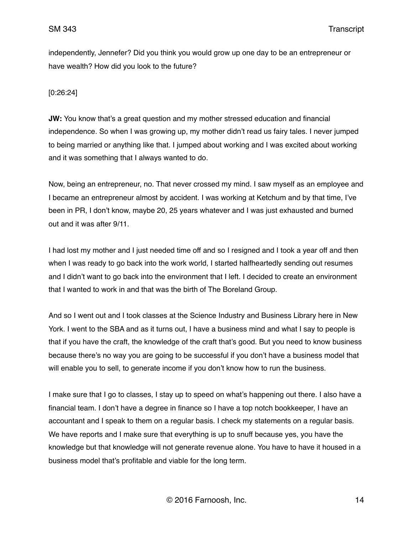independently, Jennefer? Did you think you would grow up one day to be an entrepreneur or have wealth? How did you look to the future?

[0:26:24]

**JW:** You know that's a great question and my mother stressed education and financial independence. So when I was growing up, my mother didn't read us fairy tales. I never jumped to being married or anything like that. I jumped about working and I was excited about working and it was something that I always wanted to do.

Now, being an entrepreneur, no. That never crossed my mind. I saw myself as an employee and I became an entrepreneur almost by accident. I was working at Ketchum and by that time, I've been in PR, I don't know, maybe 20, 25 years whatever and I was just exhausted and burned out and it was after 9/11.

I had lost my mother and I just needed time off and so I resigned and I took a year off and then when I was ready to go back into the work world, I started halfheartedly sending out resumes and I didn't want to go back into the environment that I left. I decided to create an environment that I wanted to work in and that was the birth of The Boreland Group.

And so I went out and I took classes at the Science Industry and Business Library here in New York. I went to the SBA and as it turns out, I have a business mind and what I say to people is that if you have the craft, the knowledge of the craft that's good. But you need to know business because there's no way you are going to be successful if you don't have a business model that will enable you to sell, to generate income if you don't know how to run the business.

I make sure that I go to classes, I stay up to speed on what's happening out there. I also have a financial team. I don't have a degree in finance so I have a top notch bookkeeper, I have an accountant and I speak to them on a regular basis. I check my statements on a regular basis. We have reports and I make sure that everything is up to snuff because yes, you have the knowledge but that knowledge will not generate revenue alone. You have to have it housed in a business model that's profitable and viable for the long term.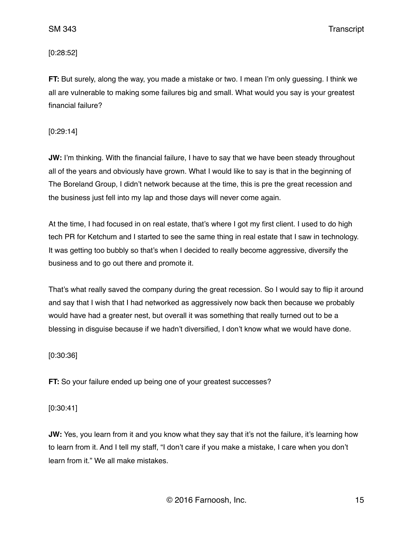SM 343 Transcript

[0:28:52]

**FT:** But surely, along the way, you made a mistake or two. I mean I'm only guessing. I think we all are vulnerable to making some failures big and small. What would you say is your greatest financial failure?

[0:29:14]

**JW:** I'm thinking. With the financial failure, I have to say that we have been steady throughout all of the years and obviously have grown. What I would like to say is that in the beginning of The Boreland Group, I didn't network because at the time, this is pre the great recession and the business just fell into my lap and those days will never come again.

At the time, I had focused in on real estate, that's where I got my first client. I used to do high tech PR for Ketchum and I started to see the same thing in real estate that I saw in technology. It was getting too bubbly so that's when I decided to really become aggressive, diversify the business and to go out there and promote it.

That's what really saved the company during the great recession. So I would say to flip it around and say that I wish that I had networked as aggressively now back then because we probably would have had a greater nest, but overall it was something that really turned out to be a blessing in disguise because if we hadn't diversified, I don't know what we would have done.

[0:30:36]

**FT:** So your failure ended up being one of your greatest successes?

[0:30:41]

**JW:** Yes, you learn from it and you know what they say that it's not the failure, it's learning how to learn from it. And I tell my staff, "I don't care if you make a mistake, I care when you don't learn from it." We all make mistakes.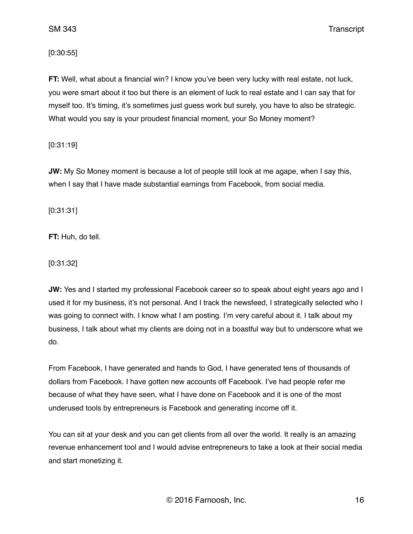SM 343 Transcript

[0:30:55]

**FT:** Well, what about a financial win? I know you've been very lucky with real estate, not luck, you were smart about it too but there is an element of luck to real estate and I can say that for myself too. It's timing, it's sometimes just guess work but surely, you have to also be strategic. What would you say is your proudest financial moment, your So Money moment?

[0:31:19]

**JW:** My So Money moment is because a lot of people still look at me agape, when I say this, when I say that I have made substantial earnings from Facebook, from social media.

[0:31:31]

**FT:** Huh, do tell.

[0:31:32]

**JW:** Yes and I started my professional Facebook career so to speak about eight years ago and I used it for my business, it's not personal. And I track the newsfeed, I strategically selected who I was going to connect with. I know what I am posting. I'm very careful about it. I talk about my business, I talk about what my clients are doing not in a boastful way but to underscore what we do.

From Facebook, I have generated and hands to God, I have generated tens of thousands of dollars from Facebook. I have gotten new accounts off Facebook. I've had people refer me because of what they have seen, what I have done on Facebook and it is one of the most underused tools by entrepreneurs is Facebook and generating income off it.

You can sit at your desk and you can get clients from all over the world. It really is an amazing revenue enhancement tool and I would advise entrepreneurs to take a look at their social media and start monetizing it.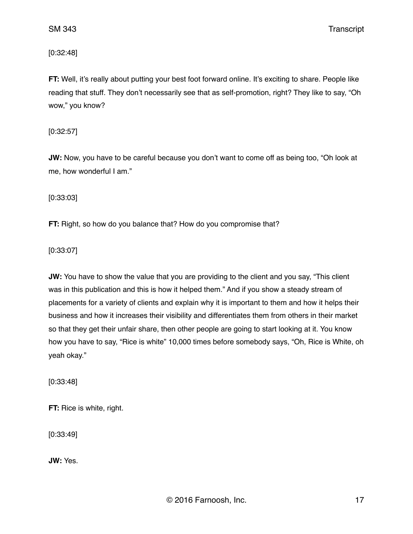[0:32:48]

**FT:** Well, it's really about putting your best foot forward online. It's exciting to share. People like reading that stuff. They don't necessarily see that as self-promotion, right? They like to say, "Oh wow," you know?

[0:32:57]

**JW:** Now, you have to be careful because you don't want to come off as being too, "Oh look at me, how wonderful I am."

[0:33:03]

**FT:** Right, so how do you balance that? How do you compromise that?

[0:33:07]

**JW:** You have to show the value that you are providing to the client and you say, "This client was in this publication and this is how it helped them." And if you show a steady stream of placements for a variety of clients and explain why it is important to them and how it helps their business and how it increases their visibility and differentiates them from others in their market so that they get their unfair share, then other people are going to start looking at it. You know how you have to say, "Rice is white" 10,000 times before somebody says, "Oh, Rice is White, oh yeah okay."

[0:33:48]

**FT:** Rice is white, right.

[0:33:49]

**JW:** Yes.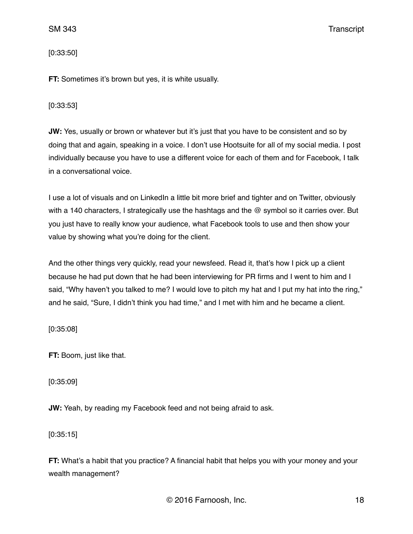[0:33:50]

**FT:** Sometimes it's brown but yes, it is white usually.

[0:33:53]

**JW:** Yes, usually or brown or whatever but it's just that you have to be consistent and so by doing that and again, speaking in a voice. I don't use Hootsuite for all of my social media. I post individually because you have to use a different voice for each of them and for Facebook, I talk in a conversational voice.

I use a lot of visuals and on LinkedIn a little bit more brief and tighter and on Twitter, obviously with a 140 characters, I strategically use the hashtags and the @ symbol so it carries over. But you just have to really know your audience, what Facebook tools to use and then show your value by showing what you're doing for the client.

And the other things very quickly, read your newsfeed. Read it, that's how I pick up a client because he had put down that he had been interviewing for PR firms and I went to him and I said, "Why haven't you talked to me? I would love to pitch my hat and I put my hat into the ring," and he said, "Sure, I didn't think you had time," and I met with him and he became a client.

[0:35:08]

**FT:** Boom, just like that.

[0:35:09]

**JW:** Yeah, by reading my Facebook feed and not being afraid to ask.

[0:35:15]

**FT:** What's a habit that you practice? A financial habit that helps you with your money and your wealth management?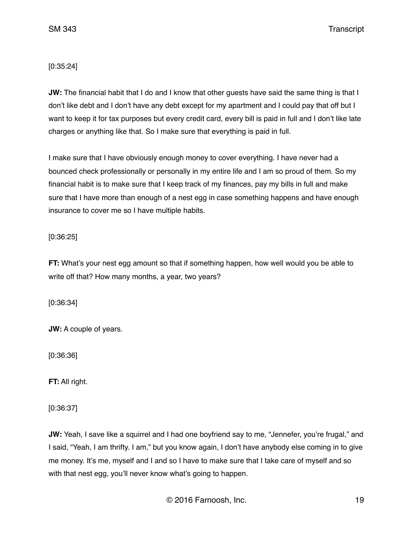# [0:35:24]

**JW:** The financial habit that I do and I know that other quests have said the same thing is that I don't like debt and I don't have any debt except for my apartment and I could pay that off but I want to keep it for tax purposes but every credit card, every bill is paid in full and I don't like late charges or anything like that. So I make sure that everything is paid in full.

I make sure that I have obviously enough money to cover everything. I have never had a bounced check professionally or personally in my entire life and I am so proud of them. So my financial habit is to make sure that I keep track of my finances, pay my bills in full and make sure that I have more than enough of a nest egg in case something happens and have enough insurance to cover me so I have multiple habits.

## [0:36:25]

**FT:** What's your nest egg amount so that if something happen, how well would you be able to write off that? How many months, a year, two years?

[0:36:34]

**JW:** A couple of years.

[0:36:36]

**FT:** All right.

[0:36:37]

**JW:** Yeah, I save like a squirrel and I had one boyfriend say to me, "Jennefer, you're frugal," and I said, "Yeah, I am thrifty. I am," but you know again, I don't have anybody else coming in to give me money. It's me, myself and I and so I have to make sure that I take care of myself and so with that nest egg, you'll never know what's going to happen.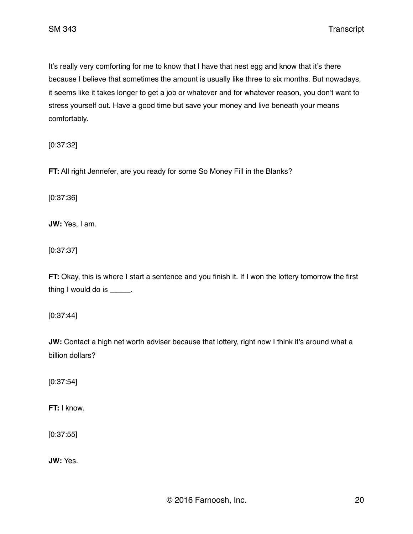SM 343 Transcript

It's really very comforting for me to know that I have that nest egg and know that it's there because I believe that sometimes the amount is usually like three to six months. But nowadays, it seems like it takes longer to get a job or whatever and for whatever reason, you don't want to stress yourself out. Have a good time but save your money and live beneath your means comfortably.

[0:37:32]

**FT:** All right Jennefer, are you ready for some So Money Fill in the Blanks?

[0:37:36]

**JW:** Yes, I am.

[0:37:37]

**FT:** Okay, this is where I start a sentence and you finish it. If I won the lottery tomorrow the first thing I would do is \_\_\_\_\_.

[0:37:44]

**JW:** Contact a high net worth adviser because that lottery, right now I think it's around what a billion dollars?

[0:37:54]

**FT:** I know.

[0:37:55]

**JW:** Yes.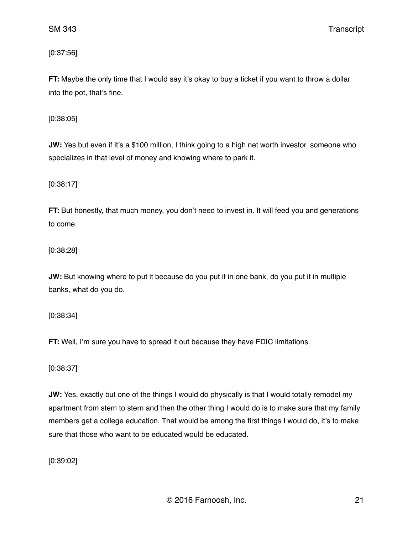[0:37:56]

**FT:** Maybe the only time that I would say it's okay to buy a ticket if you want to throw a dollar into the pot, that's fine.

[0:38:05]

**JW:** Yes but even if it's a \$100 million, I think going to a high net worth investor, someone who specializes in that level of money and knowing where to park it.

[0:38:17]

**FT:** But honestly, that much money, you don't need to invest in. It will feed you and generations to come.

[0:38:28]

**JW:** But knowing where to put it because do you put it in one bank, do you put it in multiple banks, what do you do.

[0:38:34]

**FT:** Well, I'm sure you have to spread it out because they have FDIC limitations.

[0:38:37]

**JW:** Yes, exactly but one of the things I would do physically is that I would totally remodel my apartment from stem to stern and then the other thing I would do is to make sure that my family members get a college education. That would be among the first things I would do, it's to make sure that those who want to be educated would be educated.

[0:39:02]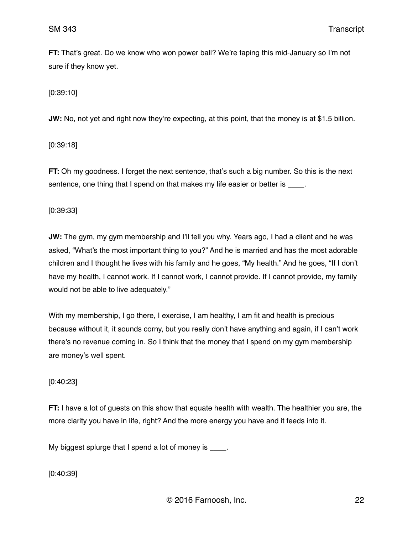**FT:** That's great. Do we know who won power ball? We're taping this mid-January so I'm not sure if they know yet.

[0:39:10]

**JW:** No, not yet and right now they're expecting, at this point, that the money is at \$1.5 billion.

[0:39:18]

**FT:** Oh my goodness. I forget the next sentence, that's such a big number. So this is the next sentence, one thing that I spend on that makes my life easier or better is \_\_\_\_.

[0:39:33]

**JW:** The gym, my gym membership and I'll tell you why. Years ago, I had a client and he was asked, "What's the most important thing to you?" And he is married and has the most adorable children and I thought he lives with his family and he goes, "My health." And he goes, "If I don't have my health, I cannot work. If I cannot work, I cannot provide. If I cannot provide, my family would not be able to live adequately."

With my membership, I go there, I exercise, I am healthy, I am fit and health is precious because without it, it sounds corny, but you really don't have anything and again, if I can't work there's no revenue coming in. So I think that the money that I spend on my gym membership are money's well spent.

[0:40:23]

**FT:** I have a lot of guests on this show that equate health with wealth. The healthier you are, the more clarity you have in life, right? And the more energy you have and it feeds into it.

My biggest splurge that I spend a lot of money is \_\_\_\_.

[0:40:39]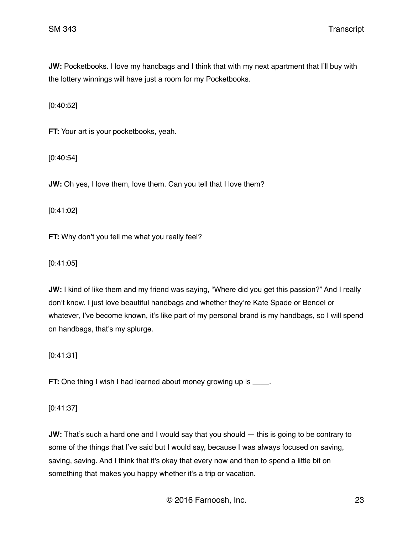**JW:** Pocketbooks. I love my handbags and I think that with my next apartment that I'll buy with the lottery winnings will have just a room for my Pocketbooks.

[0:40:52]

**FT:** Your art is your pocketbooks, yeah.

[0:40:54]

**JW:** Oh yes, I love them, love them. Can you tell that I love them?

[0:41:02]

**FT:** Why don't you tell me what you really feel?

[0:41:05]

**JW:** I kind of like them and my friend was saying, "Where did you get this passion?" And I really don't know. I just love beautiful handbags and whether they're Kate Spade or Bendel or whatever, I've become known, it's like part of my personal brand is my handbags, so I will spend on handbags, that's my splurge.

[0:41:31]

**FT:** One thing I wish I had learned about money growing up is \_\_\_\_.

[0:41:37]

**JW:** That's such a hard one and I would say that you should — this is going to be contrary to some of the things that I've said but I would say, because I was always focused on saving, saving, saving. And I think that it's okay that every now and then to spend a little bit on something that makes you happy whether it's a trip or vacation.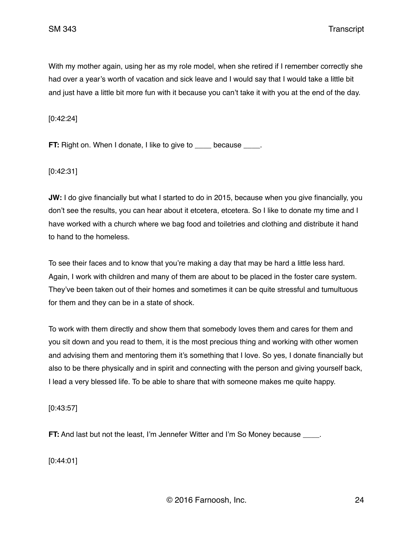With my mother again, using her as my role model, when she retired if I remember correctly she had over a year's worth of vacation and sick leave and I would say that I would take a little bit and just have a little bit more fun with it because you can't take it with you at the end of the day.

[0:42:24]

**FT:** Right on. When I donate, I like to give to because .

[0:42:31]

**JW:** I do give financially but what I started to do in 2015, because when you give financially, you don't see the results, you can hear about it etcetera, etcetera. So I like to donate my time and I have worked with a church where we bag food and toiletries and clothing and distribute it hand to hand to the homeless.

To see their faces and to know that you're making a day that may be hard a little less hard. Again, I work with children and many of them are about to be placed in the foster care system. They've been taken out of their homes and sometimes it can be quite stressful and tumultuous for them and they can be in a state of shock.

To work with them directly and show them that somebody loves them and cares for them and you sit down and you read to them, it is the most precious thing and working with other women and advising them and mentoring them it's something that I love. So yes, I donate financially but also to be there physically and in spirit and connecting with the person and giving yourself back, I lead a very blessed life. To be able to share that with someone makes me quite happy.

[0:43:57]

**FT:** And last but not the least, I'm Jennefer Witter and I'm So Money because  $\blacksquare$ .

[0:44:01]